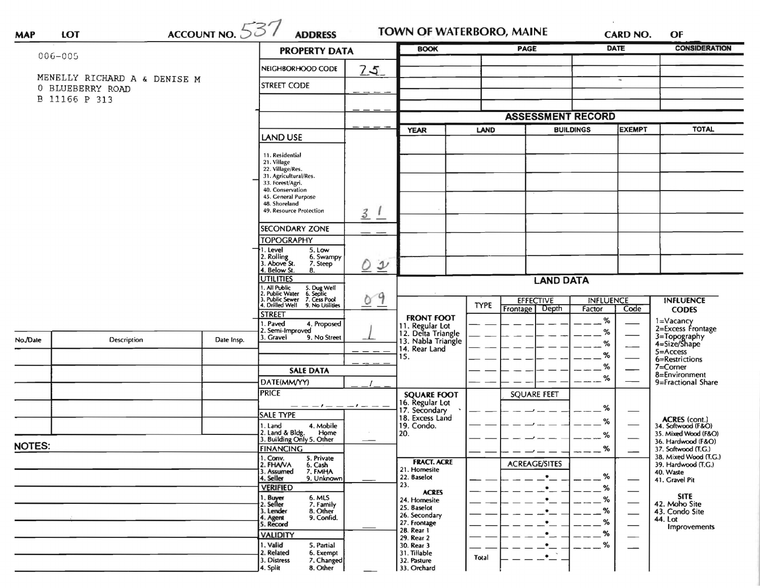|               | ACCOUNT NO. 537<br>LOT            |                                    |                                                                                                                           |                            | <b>BOOK</b>                          |                          | PAGE                 |                  | <b>DATE</b>                    | <b>CONSIDERATION</b>                         |
|---------------|-----------------------------------|------------------------------------|---------------------------------------------------------------------------------------------------------------------------|----------------------------|--------------------------------------|--------------------------|----------------------|------------------|--------------------------------|----------------------------------------------|
| 006-005       |                                   | <b>PROPERTY DATA</b>               |                                                                                                                           |                            |                                      |                          |                      |                  |                                |                                              |
|               |                                   |                                    | NEIGHBORHOOD CODE                                                                                                         | 7.5                        |                                      |                          |                      |                  |                                |                                              |
|               | MENELLY RICHARD A & DENISE M      |                                    | <b>STREET CODE</b>                                                                                                        |                            |                                      |                          |                      |                  | $\overline{\phantom{a}}$       |                                              |
|               | 0 BLUEBERRY ROAD<br>B 11166 P 313 |                                    |                                                                                                                           |                            |                                      |                          |                      |                  |                                |                                              |
|               |                                   |                                    |                                                                                                                           |                            |                                      |                          |                      |                  |                                |                                              |
|               |                                   |                                    |                                                                                                                           |                            |                                      | <b>ASSESSMENT RECORD</b> |                      |                  |                                |                                              |
|               |                                   | <b>LAND USE</b>                    |                                                                                                                           | <b>YEAR</b>                | <b>LAND</b>                          |                          | <b>BUILDINGS</b>     | <b>EXEMPT</b>    | <b>TOTAL</b>                   |                                              |
|               |                                   |                                    |                                                                                                                           |                            |                                      |                          |                      |                  |                                |                                              |
|               |                                   |                                    | 11. Residential<br>21. Village                                                                                            |                            |                                      |                          |                      |                  |                                |                                              |
|               |                                   |                                    | 22. Village/Res.                                                                                                          |                            |                                      |                          |                      |                  |                                |                                              |
|               |                                   |                                    | 31. Agricultural/Res.<br>33. Forest/Agri.                                                                                 |                            |                                      |                          |                      |                  |                                |                                              |
|               |                                   |                                    | 40. Conservation                                                                                                          |                            |                                      |                          |                      |                  |                                |                                              |
|               |                                   |                                    | 45. General Purpose<br>48. Shoreland                                                                                      |                            |                                      |                          |                      |                  |                                |                                              |
|               |                                   |                                    | 49. Resource Protection                                                                                                   | $\overline{3}$             |                                      |                          |                      |                  |                                |                                              |
|               |                                   |                                    | <b>SECONDARY ZONE</b>                                                                                                     |                            |                                      |                          |                      |                  |                                |                                              |
|               |                                   |                                    | <b>TOPOGRAPHY</b>                                                                                                         |                            |                                      |                          |                      |                  |                                |                                              |
|               |                                   |                                    | 1. Level<br>5. Low                                                                                                        |                            |                                      |                          |                      |                  |                                |                                              |
|               |                                   |                                    | 2. Rolling<br>3. Above St.<br>6. Swampy<br>7. Steep                                                                       | $\mathcal{Y}$              |                                      |                          |                      |                  |                                |                                              |
|               |                                   |                                    | 4. Below St.<br>8.<br><b>UTILITIES</b>                                                                                    |                            |                                      |                          |                      |                  |                                |                                              |
|               |                                   |                                    |                                                                                                                           | <b>LAND DATA</b>           |                                      |                          |                      |                  |                                |                                              |
|               |                                   |                                    | 1. All Public 5. Dug Well<br>2. Public Water 6. Septic<br>3. Public Sewer 7. Cess Pool<br>4. Drilled Well 9. No Utilities | 9<br>$\circ$               |                                      |                          | <b>EFFECTIVE</b>     | <b>INFLUENCE</b> |                                | <b>INFLUENCE</b>                             |
|               |                                   |                                    | <b>STREET</b>                                                                                                             |                            |                                      | <b>TYPE</b>              | Frontage Depth       | Factor           | Code                           | <b>CODES</b>                                 |
|               |                                   |                                    | 1. Paved<br>4. Proposed                                                                                                   |                            | <b>FRONT FOOT</b><br>11. Regular Lot |                          |                      | %                |                                | 1=Vacancy<br>2=Excess Frontage               |
|               |                                   |                                    | 2. Semi-Improved<br>3. Gravel<br>9. No Street                                                                             |                            | 12. Delta Triangle                   |                          |                      | %                |                                |                                              |
| No./Date      | <b>Description</b>                | Date Insp.                         |                                                                                                                           |                            | 13. Nabla Triangle<br>14. Rear Land  |                          |                      | %                |                                | 3=Topography<br>4=Size/Shape                 |
|               |                                   |                                    |                                                                                                                           |                            | 15.                                  |                          |                      | %                |                                | 5=Access<br>6=Restrictions                   |
|               |                                   |                                    | <b>SALE DATA</b>                                                                                                          |                            |                                      |                          |                      | %                |                                | 7=Corner                                     |
|               |                                   |                                    | DATE(MM/YY)                                                                                                               |                            |                                      |                          |                      | %                |                                | 8=Environment<br>9=Fractional Share          |
|               |                                   |                                    | <b>PRICE</b>                                                                                                              |                            | <b>SQUARE FOOT</b>                   |                          | <b>SQUARE FEET</b>   |                  |                                |                                              |
|               |                                   |                                    | $--- -$                                                                                                                   |                            | 16. Regular Lot                      |                          |                      | %                |                                |                                              |
|               |                                   |                                    | SALE TYPE                                                                                                                 |                            | 17. Secondary<br>18. Excess Land     |                          |                      |                  |                                |                                              |
|               |                                   |                                    | 4. Mobile<br>1. Land                                                                                                      |                            | 19. Condo.                           |                          |                      | %                |                                | ACRES (cont.)<br>34. Softwood (F&O)          |
|               |                                   |                                    | 2. Land & Bldg. Home<br>3. Building Only 5. Other<br>Home                                                                 |                            | 20.                                  |                          |                      | %                |                                | 35. Mixed Wood (F&O)<br>36. Hardwood (F&O)   |
| <b>NOTES:</b> |                                   |                                    | <b>FINANCING</b>                                                                                                          |                            |                                      |                          |                      | %                |                                | 37. Softwood (T.G.)                          |
|               |                                   |                                    | 1. Conv.<br>5. Private<br>2. FHAVA<br>6. Cash                                                                             |                            | <b>FRACT. ACRE</b>                   |                          | <b>ACREAGE/SITES</b> |                  |                                | 38. Mixed Wood (T.G.)<br>39. Hardwood (T.G.) |
|               |                                   |                                    | 7. FMHA<br>3. Assumed<br>4. Seller<br>9. Unknown                                                                          |                            | 21. Homesite<br>22. Baselot          |                          | $\bullet$            | %                |                                | 40. Waste<br>41. Gravel Pit                  |
|               |                                   |                                    | <b>VERIFIED</b>                                                                                                           |                            | 23.                                  |                          | $\bullet$            | %                |                                |                                              |
|               |                                   |                                    | 6. MLS<br>1. Buyer                                                                                                        |                            | <b>ACRES</b><br>24. Homesite         |                          |                      | %                | $\overbrace{\hspace{27mm}}^{}$ | <b>SITE</b>                                  |
|               |                                   |                                    | 7. Family<br>2. Seller<br>8. Other<br>3. Lender                                                                           |                            | 25. Baselot                          |                          |                      |                  | $\overline{\phantom{0}}$       | 42. Moho Site<br>43. Condo Site              |
|               |                                   |                                    | 9. Confid.<br>4. Agent<br>5. Record                                                                                       |                            | 26. Secondary<br>27. Frontage        |                          |                      |                  | $\overline{\phantom{0}}$       | 44. Lot                                      |
|               |                                   |                                    | <b>VALIDITY</b>                                                                                                           |                            | 28. Rear 1                           |                          |                      | %                |                                | Improvements                                 |
|               |                                   |                                    | 1. Valid<br>5. Partial                                                                                                    |                            | 29. Rear 2<br>30. Rear 3             |                          | ۰                    | %                | —                              |                                              |
|               |                                   |                                    | 2. Related<br>6. Exempt<br>3. Distress                                                                                    |                            | 31. Tillable                         | Total                    | $\cdot$ $\cdot$      |                  |                                |                                              |
|               |                                   | 7. Changed<br>4. Split<br>8. Other |                                                                                                                           | 32. Pasture<br>33. Orchard |                                      |                          |                      |                  |                                |                                              |